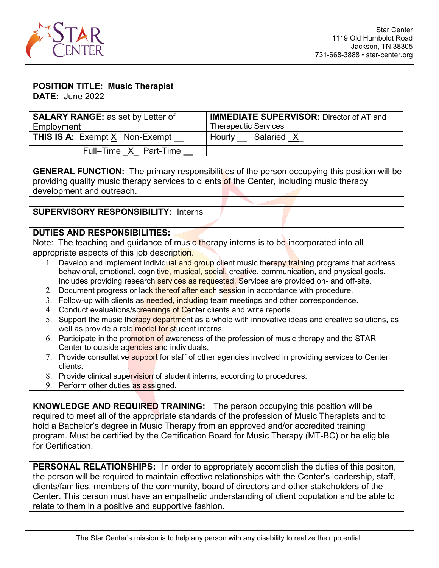

## **POSITION TITLE: Music Therapist**

**DATE:** June 2022

| <b>SALARY RANGE: as set by Letter of</b>            | <b>IMMEDIATE SUPERVISOR: Director of AT and</b> |  |  |
|-----------------------------------------------------|-------------------------------------------------|--|--|
| Employment                                          | <b>Therapeutic Services</b>                     |  |  |
| <b>THIS IS A:</b> Exempt $\underline{X}$ Non-Exempt | Salaried X<br>Hourly                            |  |  |
| Full-Time X Part-Time                               |                                                 |  |  |

**GENERAL FUNCTION:** The primary responsibilities of the person occupying this position will be providing quality music therapy services to clients of the Center, including music therapy development and outreach.

**SUPERVISORY RESPONSIBILITY:** Interns

## **DUTIES AND RESPONSIBILITIES:**

Note: The teaching and guidance of music therapy interns is to be incorporated into all appropriate aspects of this job description.

- 1. Develop and implement individual and group client music therapy training programs that address behavioral, emotional, cognitive, musical, social, creative, communication, and physical goals. Includes providing research services as requested. Services are provided on- and off-site.
- 2. Document progress or lack thereof after each session in accordance with procedure.
- 3. Follow-up with clients as needed, including team meetings and other correspondence.
- 4. Conduct evaluations/screenings of Center clients and write reports.
- 5. Support the music therapy department as a whole with innovative ideas and creative solutions, as well as provide a role model for student interns.
- 6. Participate in the promotion of awareness of the profession of music therapy and the STAR Center to outside agencies and individuals.
- 7. Provide consultative support for staff of other agencies involved in providing services to Center clients.
- 8. Provide clinical supervision of student interns, according to procedures.
- 9. Perform other duties as assigned.

**KNOWLEDGE AND REQUIRED TRAINING:** The person occupying this position will be required to meet all of the appropriate standards of the profession of Music Therapists and to hold a Bachelor's degree in Music Therapy from an approved and/or accredited training program. Must be certified by the Certification Board for Music Therapy (MT-BC) or be eligible for Certification.

**PERSONAL RELATIONSHIPS:** In order to appropriately accomplish the duties of this positon, the person will be required to maintain effective relationships with the Center's leadership, staff, clients/families, members of the community, board of directors and other stakeholders of the Center. This person must have an empathetic understanding of client population and be able to relate to them in a positive and supportive fashion.